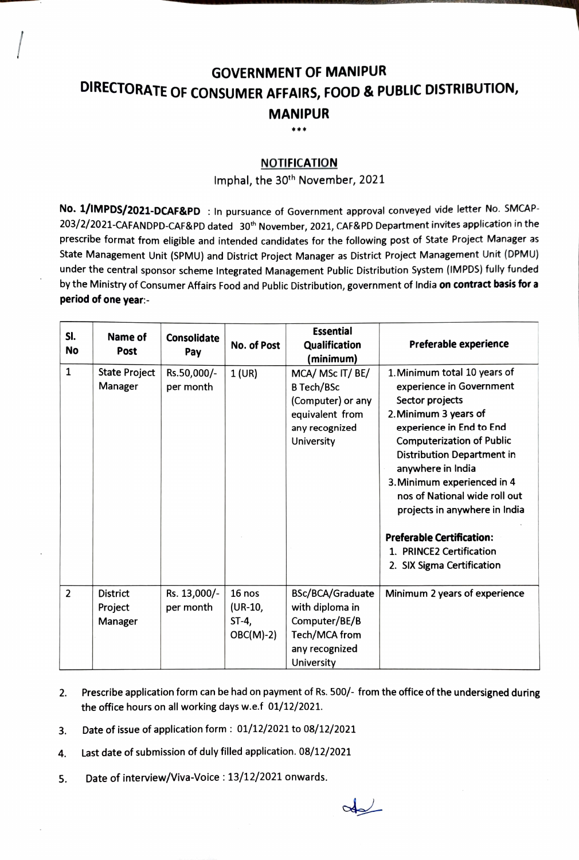## GOVERNMENT OF MANIPUR DIRECTORATE OF CONSUMER AFFAIRS, FOOD & PUBLIC DISTRIBUTION, MANIPUR

\*\*\*

## NOTIFICATION

## Imphal, the 30<sup>th</sup> November, 2021

No. 1/IMPDS/2021-DCAF&PD: In pursuance of Government approval conveyed vide letter No. SMCAP-203/2/2021-CAFANDPD-CAF&PD dated 30<sup>th</sup> November, 2021, CAF&PD Department invites application in the prescribe format from eligible and intended candidates for the following post of State Project Manager as State Management Unit (SPMU) and District Project Manager as District Project Management Unit (DPMU) under the central sponsor scheme Integrated Management Public Distribution System (IMPDS) fully funded by the Ministry of Consumer Affairs Food and Public Distribution, government of India on contract basis for a period of one year:-

| SI.<br><b>No</b> | Name of<br>Post                       | <b>Consolidate</b><br>Pay | No. of Post                               | <b>Essential</b><br>Qualification<br>(minimum)                                                                | Preferable experience                                                                                                                                                                                                                                                                                                                                                                                                  |
|------------------|---------------------------------------|---------------------------|-------------------------------------------|---------------------------------------------------------------------------------------------------------------|------------------------------------------------------------------------------------------------------------------------------------------------------------------------------------------------------------------------------------------------------------------------------------------------------------------------------------------------------------------------------------------------------------------------|
| $\mathbf{1}$     | <b>State Project</b><br>Manager       | Rs.50,000/-<br>per month  | $1$ (UR)                                  | MCA/ MSc IT/ BE/<br><b>B Tech/BSc</b><br>(Computer) or any<br>equivalent from<br>any recognized<br>University | 1. Minimum total 10 years of<br>experience in Government<br>Sector projects<br>2. Minimum 3 years of<br>experience in End to End<br><b>Computerization of Public</b><br>Distribution Department in<br>anywhere in India<br>3. Minimum experienced in 4<br>nos of National wide roll out<br>projects in anywhere in India<br><b>Preferable Certification:</b><br>1. PRINCE2 Certification<br>2. SIX Sigma Certification |
| $\overline{2}$   | <b>District</b><br>Project<br>Manager | Rs. 13,000/-<br>per month | 16 nos<br>(UR-10,<br>ST-4,<br>$OBC(M)-2)$ | BSc/BCA/Graduate<br>with diploma in<br>Computer/BE/B<br>Tech/MCA from<br>any recognized<br>University         | Minimum 2 years of experience                                                                                                                                                                                                                                                                                                                                                                                          |

- Prescribe application form can be had on payment of Rs. 500/- from the office of the undersigned during the office hours on all working days w.e.f 01/12/2021. 2.
- 3. Date of issue of application form: 01/12/2021 to 08/12/2021
- 4. Last date of submission of duly flled application. 08/12/2021
- 5. Date of interview/Viva-Voice : 13/12/2021 onwards.

 $\sim$